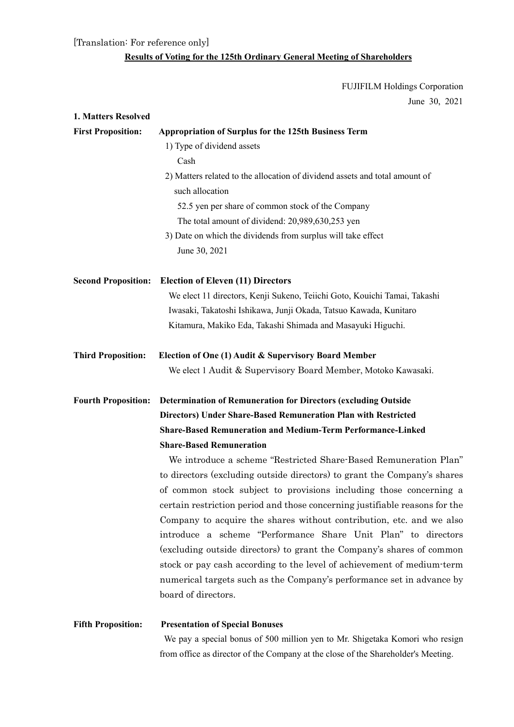[Translation: For reference only]

## **Results of Voting for the 125th Ordinary General Meeting of Shareholders**

FUJIFILM Holdings Corporation June 30, 2021

| 1. Matters Resolved        |                                                                             |  |  |  |  |
|----------------------------|-----------------------------------------------------------------------------|--|--|--|--|
| <b>First Proposition:</b>  | <b>Appropriation of Surplus for the 125th Business Term</b>                 |  |  |  |  |
|                            | 1) Type of dividend assets                                                  |  |  |  |  |
|                            | Cash                                                                        |  |  |  |  |
|                            | 2) Matters related to the allocation of dividend assets and total amount of |  |  |  |  |
|                            | such allocation                                                             |  |  |  |  |
|                            | 52.5 yen per share of common stock of the Company                           |  |  |  |  |
|                            | The total amount of dividend: 20,989,630,253 yen                            |  |  |  |  |
|                            | 3) Date on which the dividends from surplus will take effect                |  |  |  |  |
|                            | June 30, 2021                                                               |  |  |  |  |
| <b>Second Proposition:</b> | <b>Election of Eleven (11) Directors</b>                                    |  |  |  |  |
|                            | We elect 11 directors, Kenji Sukeno, Teiichi Goto, Kouichi Tamai, Takashi   |  |  |  |  |
|                            | Iwasaki, Takatoshi Ishikawa, Junji Okada, Tatsuo Kawada, Kunitaro           |  |  |  |  |
|                            | Kitamura, Makiko Eda, Takashi Shimada and Masayuki Higuchi.                 |  |  |  |  |
| <b>Third Proposition:</b>  | Election of One (1) Audit & Supervisory Board Member                        |  |  |  |  |
|                            | We elect 1 Audit & Supervisory Board Member, Motoko Kawasaki.               |  |  |  |  |
| <b>Fourth Proposition:</b> | <b>Determination of Remuneration for Directors (excluding Outside</b>       |  |  |  |  |
|                            | <b>Directors) Under Share-Based Remuneration Plan with Restricted</b>       |  |  |  |  |
|                            | <b>Share-Based Remuneration and Medium-Term Performance-Linked</b>          |  |  |  |  |
|                            | <b>Share-Based Remuneration</b>                                             |  |  |  |  |
|                            | We introduce a scheme "Restricted Share-Based Remuneration Plan"            |  |  |  |  |
|                            | to directors (excluding outside directors) to grant the Company's shares    |  |  |  |  |
|                            | of common stock subject to provisions including those concerning a          |  |  |  |  |
|                            | certain restriction period and those concerning justifiable reasons for the |  |  |  |  |
|                            | Company to acquire the shares without contribution, etc. and we also        |  |  |  |  |
|                            | introduce a scheme "Performance Share Unit Plan" to directors               |  |  |  |  |
|                            | (excluding outside directors) to grant the Company's shares of common       |  |  |  |  |
|                            | stock or pay cash according to the level of achievement of medium-term      |  |  |  |  |
|                            | numerical targets such as the Company's performance set in advance by       |  |  |  |  |
|                            | board of directors.                                                         |  |  |  |  |
| <b>Fifth Proposition:</b>  | <b>Presentation of Special Bonuses</b>                                      |  |  |  |  |
|                            |                                                                             |  |  |  |  |

 We pay a special bonus of 500 million yen to Mr. Shigetaka Komori who resign from office as director of the Company at the close of the Shareholder's Meeting.